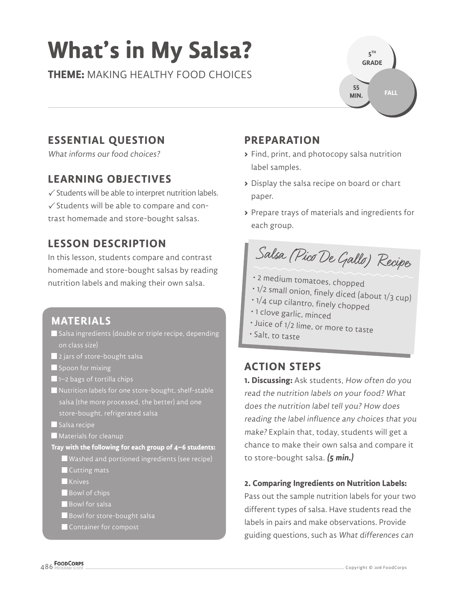# **What's in My Salsa?**

**THEME:** MAKING HEALTHY FOOD CHOICES



# **ESSENTIAL QUESTION**

What informs our food choices?

## **LEARNING OBJECTIVES**

 $\checkmark$  Students will be able to interpret nutrition labels.  $\checkmark$  Students will be able to compare and contrast homemade and store-bought salsas.

## **LESSON DESCRIPTION**

In this lesson, students compare and contrast homemade and store-bought salsas by reading nutrition labels and making their own salsa.

## **MATERIALS**

- Salsa ingredients (double or triple recipe, depending on class size)
- **2** jars of store-bought salsa
- $\blacksquare$  Spoon for mixing
- 1–2 bags of tortilla chips
- Nutrition labels for one store-bought, shelf-stable salsa (the more processed, the better) and one store-bought, refrigerated salsa
- $\blacksquare$  Salsa recipe
- **Materials for cleanup**

**Tray with the following for each group of 4–6 students:**

- Washed and portioned ingredients (see recipe) **Cutting mats**
- **Knives**
- Bowl of chips
- Bowl for salsa
- Bowl for store-bought salsa
- Container for compost

## **PREPARATION**

- **>** Find, print, and photocopy salsa nutrition label samples.
- **>** Display the salsa recipe on board or chart paper.
- **>** Prepare trays of materials and ingredients for each group.

Salsa (Pico De Gallo) Recipe

- 2 medium tomatoes, chopped
- 1/2 small onion, finely diced (about 1/3 cup) 1/4 cup cilantro, finely chopped
- 
- 1 clove garlic, minced
- Juice of 1/2 lime, or more to taste
- Salt, to taste

# **ACTION STEPS**

**1. Discussing:** Ask students, How often do you read the nutrition labels on your food? What does the nutrition label tell you? How does reading the label influence any choices that you make? Explain that, today, students will get a chance to make their own salsa and compare it to store-bought salsa. **(5 min.)**

### **2. Comparing Ingredients on Nutrition Labels:**

Pass out the sample nutrition labels for your two different types of salsa. Have students read the labels in pairs and make observations. Provide guiding questions, such as What differences can